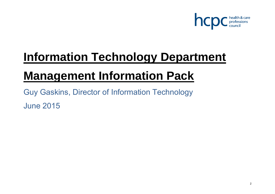

# **Information Technology Department**

## **Management Information Pack**

Guy Gaskins, Director of Information Technology June 2015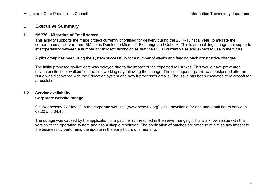## **1 Executive Summary**

#### **1.1 "MP76 - Migration of Email server**

This activity supports the major project currently prioritised for delivery during the 2014-15 fiscal year, to migrate the corporate email server from IBM Lotus Domino to Microsoft Exchange and Outlook. This is an enabling change that supports interoperability between a number of Microsoft technologies that the HCPC currently use and expect to use in the future.

A pilot group has been using the system successfully for a number of weeks and feeding back constructive changes.

The initial proposed go-live date was delayed due to the impact of the expected rail strikes. This would have prevented having onsite 'floor walkers' on the first working day following the change. The subsequent go-live was postponed after an issue was discovered with the Education system and how it processes emails. The issue has been escalated to Microsoft for a resolution.

## **1.2 Service availability Corporate website outage:**

On Wednesday 27 May 2015 the corporate web site (www.hcpc-uk.org) was unavailable for one and a half hours between 03:20 and 04:45.

The outage was caused by the application of a patch which resulted in the server hanging. This is a known issue with this version of the operating system and has a simple resolution. The application of patches are timed to minimise any impact to the business by performing the update in the early hours of a morning.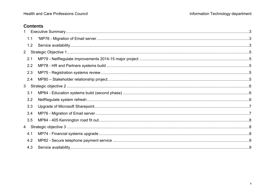## **Contents**

| $\mathbf{1}$   |  |
|----------------|--|
| 1.1            |  |
| 1.2            |  |
| 2 <sup>7</sup> |  |
| 2.1            |  |
| 2.2            |  |
| 2.3            |  |
| 2.4            |  |
| 3 <sup>7</sup> |  |
| 3.1            |  |
| 3.2            |  |
| 3.3            |  |
| 3.4            |  |
| 3.5            |  |
|                |  |
| 4.1            |  |
| 4.2            |  |
| 4.3            |  |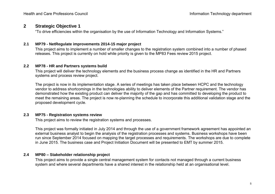## **2 Strategic Objective 1**

"To drive efficiencies within the organisation by the use of Information Technology and Information Systems."

## **2.1 MP79 - NetRegulate improvements 2014-15 major project**

This project aims to implement a number of smaller changes to the registration system combined into a number of phased releases. This project is currently on hold while priority is given to the MP83 Fees review 2015 project.

### **2.2 MP78 - HR and Partners systems build**

This project will deliver the technology elements and the business process change as identified in the HR and Partners systems and process review project.

The project is now in its implementation stage. A series of meetings has taken place between HCPC and the technology vendor to address shortcomings in the technologies ability to deliver elements of the Partner requirement. The vendor has demonstrated how the existing product can deliver the majority of the gap and has committed to developing the product to meet the remaining areas. The project is now re-planning the schedule to incorporate this additional validation stage and the proposed development cycle.

## **2.3 MP75 - Registration systems review**

This project aims to review the registration systems and processes.

This project was formally initiated in July 2014 and through the use of a government framework agreement has appointed an external business analyst to begin the analysis of the registration processes and systems. Business workshops have been run since September 2014 focused on mapping the target processes and requirements. The workshops are due to complete in June 2015. The business case and Project Initiation Document will be presented to EMT by summer 2015.

## **2.4 MP80 – Stakeholder relationship project**

This project aims to provide a single central management system for contacts not managed through a current business system and where several departments have a shared interest in the relationship held at an organisational level.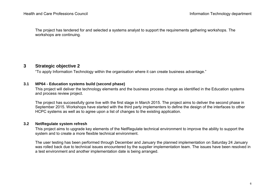The project has tendered for and selected a systems analyst to support the requirements gathering workshops. The workshops are continuing.

## **3 Strategic objective 2**

"To apply Information Technology within the organisation where it can create business advantage."

## **3.1 MP64 - Education systems build (second phase)**

This project will deliver the technology elements and the business process change as identified in the Education systems and process review project.

The project has successfully gone live with the first stage in March 2015. The project aims to deliver the second phase in September 2015. Workshops have started with the third party implementers to define the design of the interfaces to other HCPC systems as well as to agree upon a list of changes to the existing application.

#### **3.2 NetRegulate system refresh**

This project aims to upgrade key elements of the NetRegulate technical environment to improve the ability to support the system and to create a more flexible technical environment.

The user testing has been performed through December and January the planned implementation on Saturday 24 January was rolled back due to technical issues encountered by the supplier implementation team. The issues have been resolved in a test environment and another implementation date is being arranged.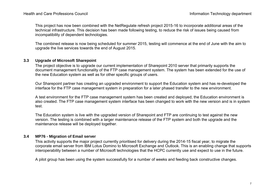This project has now been combined with the NetRegulate refresh project 2015-16 to incorporate additional areas of the technical infrastructure. This decision has been made following testing, to reduce the risk of issues being caused from incompatibility of dependent technologies.

The combined release is now being scheduled for summer 2015, testing will commence at the end of June with the aim to upgrade the live services towards the end of August 2015.

#### **3.3 Upgrade of Microsoft Sharepoint**

The project objective is to upgrade our current implementation of Sharepoint 2010 server that primarily supports the document management functionality of the FTP case management system. The system has been extended for the use of the new Education system as well as for other specific groups of users.

Our Sharepoint partner has creating an upgraded environment to support the Education system and has re-developed the interface for the FTP case management system in preparation for a later phased transfer to the new environment.

A test environment for the FTP case management system has been created and deployed; the Education environment is also created. The FTP case management system interface has been changed to work with the new version and is in system test.

The Education system is live with the upgraded version of Sharepoint and FTP are continuing to test against the new version. The testing is combined with a larger maintenance release of the FTP system and both the upgrade and the maintenance release will be deployed together.

## **3.4 MP76 - Migration of Email server**

This activity supports the major project currently prioritised for delivery during the 2014-15 fiscal year, to migrate the corporate email server from IBM Lotus Domino to Microsoft Exchange and Outlook. This is an enabling change that supports interoperability between a number of Microsoft technologies that the HCPC currently use and expect to use in the future.

A pilot group has been using the system successfully for a number of weeks and feeding back constructive changes.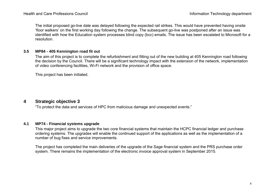The initial proposed go-live date was delayed following the expected rail strikes. This would have prevented having onsite 'floor walkers' on the first working day following the change. The subsequent go-live was postponed after an issue was identified with how the Education system processes blind copy (bcc) emails. The issue has been escalated to Microsoft for a resolution.

### **3.5 MP84 - 405 Kennington road fit out**

The aim of this project is to complete the refurbishment and fitting out of the new building at 405 Kennington road following the decision by the Council. There will be a significant technology impact with the extension of the network, implementation of video conferencing facilities, Wi-Fi network and the provision of office space.

This project has been initiated.

## **4 Strategic objective 3**

"To protect the data and services of HPC from malicious damage and unexpected events."

#### **4.1 MP74 - Financial systems upgrade**

This major project aims to upgrade the two core financial systems that maintain the HCPC financial ledger and purchase ordering systems. The upgrades will enable the continued support of the applications as well as the implementation of a number of bug fixes and service improvements.

The project has completed the main deliveries of the upgrade of the Sage financial system and the PRS purchase order system. There remains the implementation of the electronic invoice approval system in September 2015.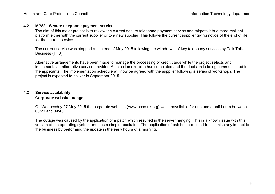#### **4.2 MP82 - Secure telephone payment service**

The aim of this major project is to review the current secure telephone payment service and migrate it to a more resilient platform either with the current supplier or to a new supplier. This follows the current supplier giving notice of the end of life for the current service.

The current service was stopped at the end of May 2015 following the withdrawal of key telephony services by Talk Talk Business (TTB).

Alternative arrangements have been made to manage the processing of credit cards while the project selects and implements an alternative service provider. A selection exercise has completed and the decision is being communicated to the applicants. The implementation schedule will now be agreed with the supplier following a series of workshops. The project is expected to deliver in September 2015.

## **4.3 Service availability Corporate website outage:**

On Wednesday 27 May 2015 the corporate web site (www.hcpc-uk.org) was unavailable for one and a half hours between 03:20 and 04:45.

The outage was caused by the application of a patch which resulted in the server hanging. This is a known issue with this version of the operating system and has a simple resolution. The application of patches are timed to minimise any impact to the business by performing the update in the early hours of a morning.